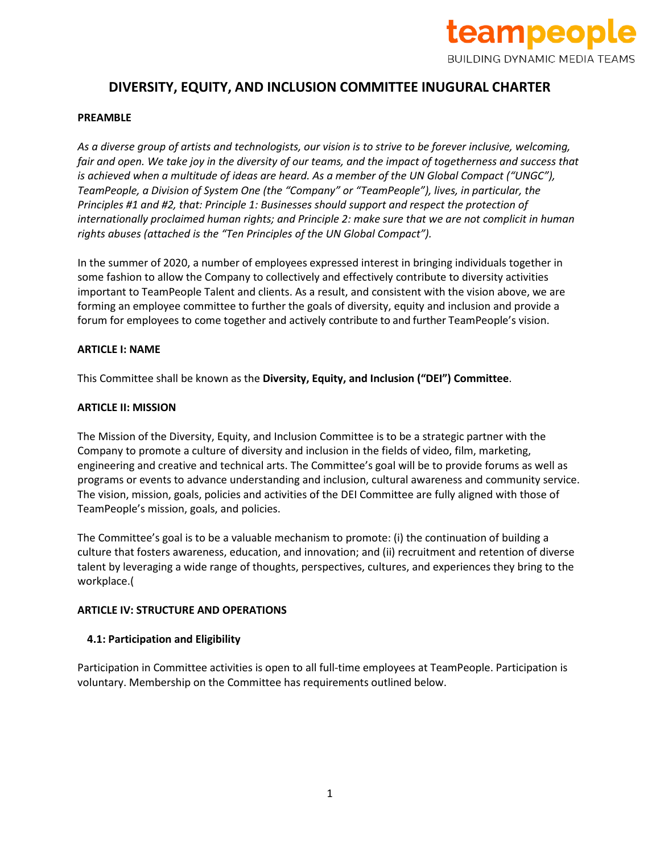

# **DIVERSITY, EQUITY, AND INCLUSION COMMITTEE INUGURAL CHARTER**

#### **PREAMBLE**

*As a diverse group of artists and technologists, our vision is to strive to be forever inclusive, welcoming, fair and open. We take joy in the diversity of our teams, and the impact of togetherness and success that is achieved when a multitude of ideas are heard. As a member of the UN Global Compact ("UNGC"), TeamPeople, a Division of System One (the "Company" or "TeamPeople"), lives, in particular, the Principles #1 and #2, that: Principle 1: Businesses should support and respect the protection of internationally proclaimed human rights; and Principle 2: make sure that we are not complicit in human rights abuses (attached is the "Ten Principles of the UN Global Compact").* 

In the summer of 2020, a number of employees expressed interest in bringing individuals together in some fashion to allow the Company to collectively and effectively contribute to diversity activities important to TeamPeople Talent and clients. As a result, and consistent with the vision above, we are forming an employee committee to further the goals of diversity, equity and inclusion and provide a forum for employees to come together and actively contribute to and further TeamPeople's vision.

#### **ARTICLE I: NAME**

This Committee shall be known as the **Diversity, Equity, and Inclusion ("DEI") Committee**.

#### **ARTICLE II: MISSION**

The Mission of the Diversity, Equity, and Inclusion Committee is to be a strategic partner with the Company to promote a culture of diversity and inclusion in the fields of video, film, marketing, engineering and creative and technical arts. The Committee's goal will be to provide forums as well as programs or events to advance understanding and inclusion, cultural awareness and community service. The vision, mission, goals, policies and activities of the DEI Committee are fully aligned with those of TeamPeople's mission, goals, and policies.

The Committee's goal is to be a valuable mechanism to promote: (i) the continuation of building a culture that fosters awareness, education, and innovation; and (ii) recruitment and retention of diverse talent by leveraging a wide range of thoughts, perspectives, cultures, and experiences they bring to the workplace.(

#### **ARTICLE IV: STRUCTURE AND OPERATIONS**

# **4.1: Participation and Eligibility**

Participation in Committee activities is open to all full-time employees at TeamPeople. Participation is voluntary. Membership on the Committee has requirements outlined below.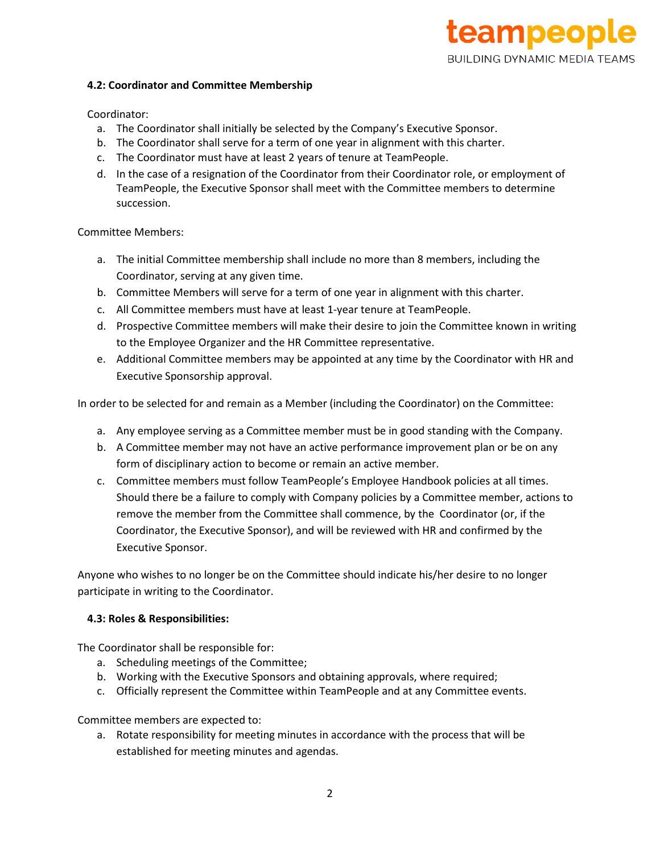# teampeople **BUILDING DYNAMIC MEDIA TEAMS**

#### **4.2: Coordinator and Committee Membership**

# Coordinator:

- a. The Coordinator shall initially be selected by the Company's Executive Sponsor.
- b. The Coordinator shall serve for a term of one year in alignment with this charter.
- c. The Coordinator must have at least 2 years of tenure at TeamPeople.
- d. In the case of a resignation of the Coordinator from their Coordinator role, or employment of TeamPeople, the Executive Sponsor shall meet with the Committee members to determine succession.

Committee Members:

- a. The initial Committee membership shall include no more than 8 members, including the Coordinator, serving at any given time.
- b. Committee Members will serve for a term of one year in alignment with this charter.
- c. All Committee members must have at least 1-year tenure at TeamPeople.
- d. Prospective Committee members will make their desire to join the Committee known in writing to the Employee Organizer and the HR Committee representative.
- e. Additional Committee members may be appointed at any time by the Coordinator with HR and Executive Sponsorship approval.

In order to be selected for and remain as a Member (including the Coordinator) on the Committee:

- a. Any employee serving as a Committee member must be in good standing with the Company.
- b. A Committee member may not have an active performance improvement plan or be on any form of disciplinary action to become or remain an active member.
- c. Committee members must follow TeamPeople's Employee Handbook policies at all times. Should there be a failure to comply with Company policies by a Committee member, actions to remove the member from the Committee shall commence, by the Coordinator (or, if the Coordinator, the Executive Sponsor), and will be reviewed with HR and confirmed by the Executive Sponsor.

Anyone who wishes to no longer be on the Committee should indicate his/her desire to no longer participate in writing to the Coordinator.

# **4.3: Roles & Responsibilities:**

The Coordinator shall be responsible for:

- a. Scheduling meetings of the Committee;
- b. Working with the Executive Sponsors and obtaining approvals, where required;
- c. Officially represent the Committee within TeamPeople and at any Committee events.

Committee members are expected to:

a. Rotate responsibility for meeting minutes in accordance with the process that will be established for meeting minutes and agendas.